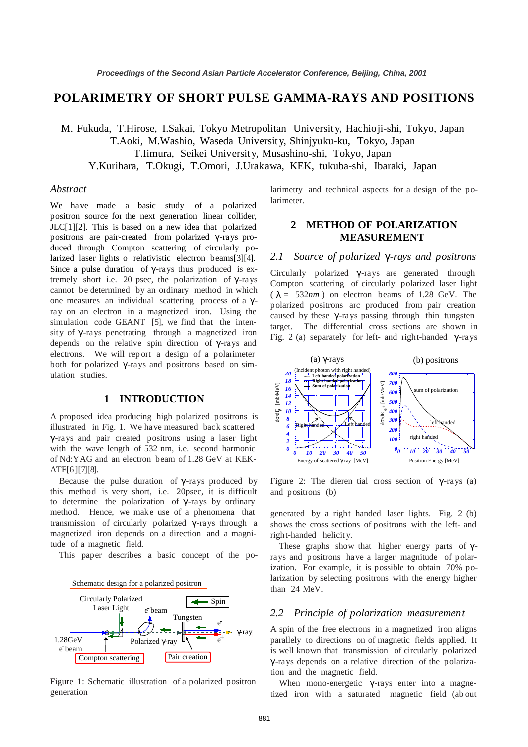# **POLARIMETRY OF SHORT PULSE GAMMA-RAYS AND POSITIONS**

M. Fukuda, T.Hirose, I.Sakai, Tokyo Metropolitan University, Hachioji-shi, Tokyo, Japan T.Aoki, M.Washio, Waseda University, Shinjyuku-ku, Tokyo, Japan T.Iimura, Seikei University, Musashino-shi, Tokyo, Japan Y.Kurihara, T.Okugi, T.Omori, J.Urakawa, KEK, tukuba-shi, Ibaraki, Japan

### *Abstract*

We have made a basic study of a polarized positron source for the next generation linear collider, JLC[1][2]. This is based on a new idea that polarized positrons are pair-created from polarized γ -rays produced through Compton scattering of circularly polarized laser lights o relativistic electron beams[3][4]. Since a pulse duration of  $\gamma$ -rays thus produced is extremely short i.e. 20 psec, the polarization of  $\gamma$ -rays cannot be determined by an ordinary method in which one measures an individual scattering process of a γray on an electron in a magnetized iron. Using the simulation code GEANT [5], we find that the intensity of  $\gamma$ -rays penetrating through a magnetized iron depends on the relative spin direction of γ -rays and electrons. We will rep ort a design of a polarimeter both for polarized  $\gamma$ -rays and positrons based on simulation studies.

#### **1 INTRODUCTION**

A proposed idea producing high polarized positrons is illustrated in Fig. 1. We have measured back scattered γ -rays and pair created positrons using a laser light with the wave length of 532 nm, i.e. second harmonic of Nd:YAG and an electron beam of 1.28 GeV at KEK-ATF[6 ][7][8].

Because the pulse duration of  $\gamma$ -rays produced by this method is very short, i.e. 20psec, it is difficult to determine the polarization of γ -rays by ordinary method. Hence, we make use of a phenomena that transmission of circularly polarized γ -rays through a magnetized iron depends on a direction and a magnitude of a magnetic field.

This paper describes a basic concept of the po-



Figure 1: Schematic illustration of a polarized positron generation

larimetry and technical aspects for a design of the polarimeter.

# **2 METHOD OF POLARIZATION MEASUREMENT**

# 2.1 Source of polarized γ-rays and positrons

Circularly polarized γ -rays are generated through Compton scattering of circularly polarized laser light  $(\lambda = 532nm)$  on electron beams of 1.28 GeV. The polarized positrons arc produced from pair creation caused by these  $\gamma$ -rays passing through thin tungsten target. The differential cross sections are shown in Fig. 2 (a) separately for left- and right-handed  $γ$ -rays



Figure 2: The dieren tial cross section of γ-rays (a) and positrons (b)

generated by a right handed laser lights. Fig. 2 (b) shows the cross sections of positrons with the left- and right-handed helicit y.

These graphs show that higher energy parts of  $\gamma$ rays and positrons have a larger magnitude of polarization. For example, it is possible to obtain 70% polarization by selecting positrons with the energy higher than 24 MeV.

### *2.2 Principle of polarization measurement*

A spin of the free electrons in a magnetized iron aligns parallely to directions on of magnetic fields applied. It is well known that transmission of circularly polarized γ-rays depends on a relative direction of the polarization and the magnetic field.

When mono-energetic  $\gamma$ -rays enter into a magnetized iron with a saturated magnetic field (ab out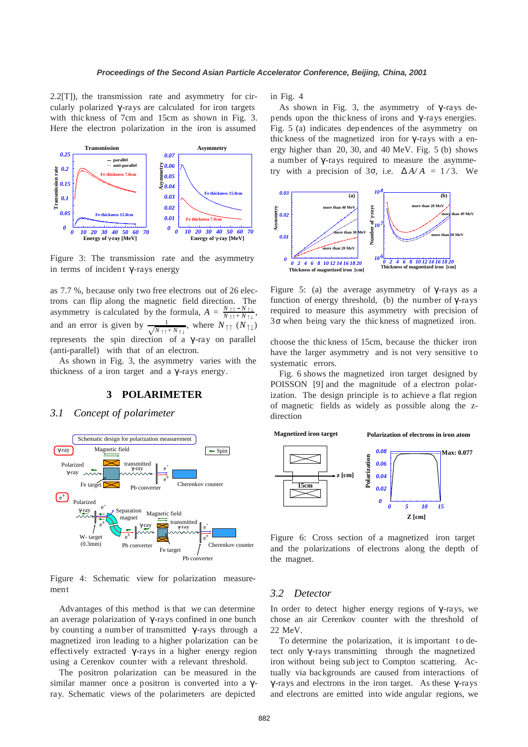2.2[T]), the transmission rate and asymmetry for circularly polarized γ -rays are calculated for iron targets with thic kness of 7cm and 15cm as shown in Fig. 3. Here the electron polarization in the iron is assumed



Figure 3: The transmission rate and the asymmetry in terms of incident  $\gamma$ -rays energy

as 7.7 %, because only two free electrons out of 26 electrons can flip along the magnetic field direction. The asymmetry is calculated by the formula,  $A = \frac{N_1 + N_1}{N_1 + N_1}$ , and an error is given by 1  $\sqrt{N\ln N}$  $\rightarrow$ , where  $N_{\uparrow\uparrow}$   $(N_{\uparrow\downarrow})$ represents the spin direction of a γ-ray on parallel (anti-parallel) with that of an electron.

As shown in Fig. 3, the asymmetry varies with the thickness of a iron target and a  $γ$ -rays energy.

#### **3 POLARIMETER**

### *3.1 Concept of polarimeter*



Figure 4: Schematic view for polarization measurement

Advantages of this method is that we can determine an average polarization of  $\gamma$ -rays confined in one bunch by counting a number of transmitted γ -rays through a magnetized iron leading to a higher polarization can be effectively extracted γ-rays in a higher energy region using a Cerenkov counter with a relevant threshold.

The positron polarization can be measured in the similar manner once a positron is converted into a  $\gamma$ ray. Schematic views of the polarimeters are depicted

in Fig. 4

As shown in Fig. 3, the asymmetry of  $\gamma$ -rays depends upon the thic kness of irons and  $γ$ -rays energies. Fig. 5 (a) indicates dep endences of the asymmetry on thic kness of the magnetized iron for  $γ$ -rays with a energy higher than 20, 30, and 40 MeV. Fig. 5 (b) shows a number of  $γ$ -rays required to measure the asymmetry with a precision of  $3\sigma$ , i.e.  $\Delta A/A = 1/3$ . We



Figure 5: (a) the average asymmetry of  $\gamma$ -rays as a function of energy threshold, (b) the number of  $\gamma$ -rays required to measure this asymmetry with precision of 3σ when being vary the thic kness of magnetized iron.

choose the thic kness of 15cm, because the thicker iron have the larger asymmetry and is not very sensitive to systematic errors.

Fig. 6 shows the magnetized iron target designed by POISSON [9] and the magnitude of a electron polarization. The design principle is to achieve a flat region of magnetic fields as widely as possible along the zdirection



Figure 6: Cross section of a magnetized iron target and the polarizations of electrons along the depth of the magnet.

#### *3.2 Detector*

In order to detect higher energy regions of  $\gamma$ -rays, we chose an air Cerenkov counter with the threshold of 22 MeV.

To determine the polarization, it is important to detect only γ -rays transmitting through the magnetized iron without being sub ject to Compton scattering. Actually via backgrounds are caused from interactions of  $γ$ -rays and electrons in the iron target. As these  $γ$ -rays and electrons are emitted into wide angular regions, we